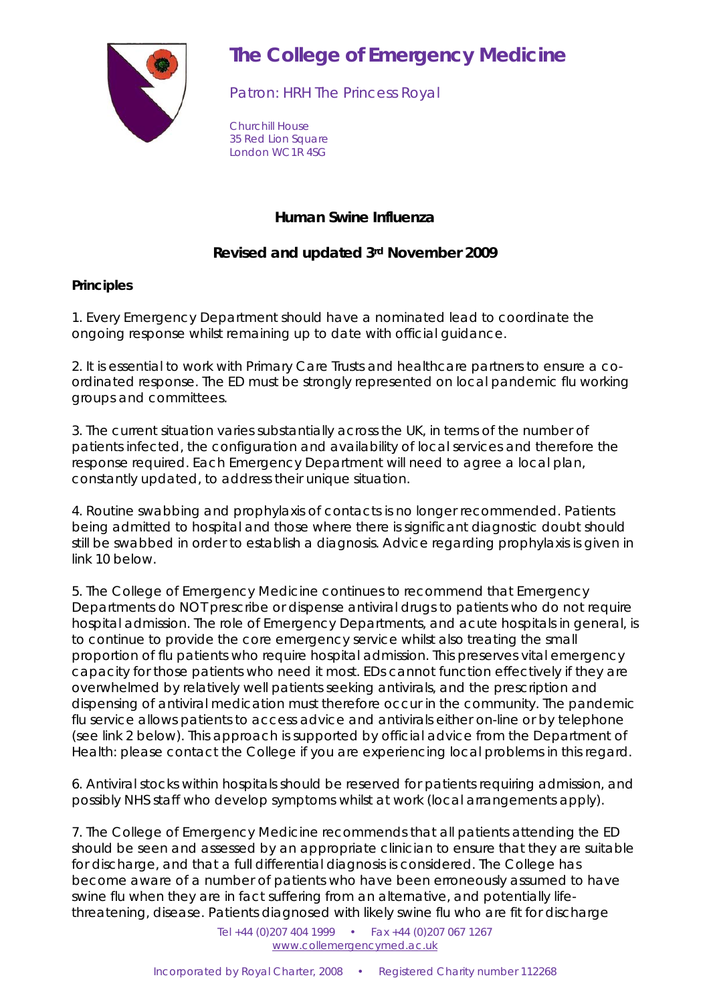

## **The College of Emergency Medicine**

Patron: HRH The Princess Royal

Churchill House 35 Red Lion Square London WC1R 4SG

## **Human Swine Influenza**

## **Revised and updated 3rd November 2009**

## **Principles**

1. Every Emergency Department should have a nominated lead to coordinate the ongoing response whilst remaining up to date with official guidance.

2. It is essential to work with Primary Care Trusts and healthcare partners to ensure a coordinated response. The ED must be strongly represented on local pandemic flu working groups and committees.

3. The current situation varies substantially across the UK, in terms of the number of patients infected, the configuration and availability of local services and therefore the response required. Each Emergency Department will need to agree a local plan, constantly updated, to address their unique situation.

4. Routine swabbing and prophylaxis of contacts is no longer recommended. Patients being admitted to hospital and those where there is significant diagnostic doubt should still be swabbed in order to establish a diagnosis. Advice regarding prophylaxis is given in link 10 below.

5. The College of Emergency Medicine continues to recommend that Emergency Departments do NOT prescribe or dispense antiviral drugs to patients who do not require hospital admission. The role of Emergency Departments, and acute hospitals in general, is to continue to provide the core emergency service whilst also treating the small proportion of flu patients who require hospital admission. This preserves vital emergency capacity for those patients who need it most. EDs cannot function effectively if they are overwhelmed by relatively well patients seeking antivirals, and the prescription and dispensing of antiviral medication must therefore occur in the community. The pandemic flu service allows patients to access advice and antivirals either on-line or by telephone (see link 2 below). This approach is supported by official advice from the Department of Health: please contact the College if you are experiencing local problems in this regard.

6. Antiviral stocks within hospitals should be reserved for patients requiring admission, and possibly NHS staff who develop symptoms whilst at work (local arrangements apply).

7. The College of Emergency Medicine recommends that all patients attending the ED should be seen and assessed by an appropriate clinician to ensure that they are suitable for discharge, and that a full differential diagnosis is considered. The College has become aware of a number of patients who have been erroneously assumed to have swine flu when they are in fact suffering from an alternative, and potentially lifethreatening, disease. Patients diagnosed with likely swine flu who are fit for discharge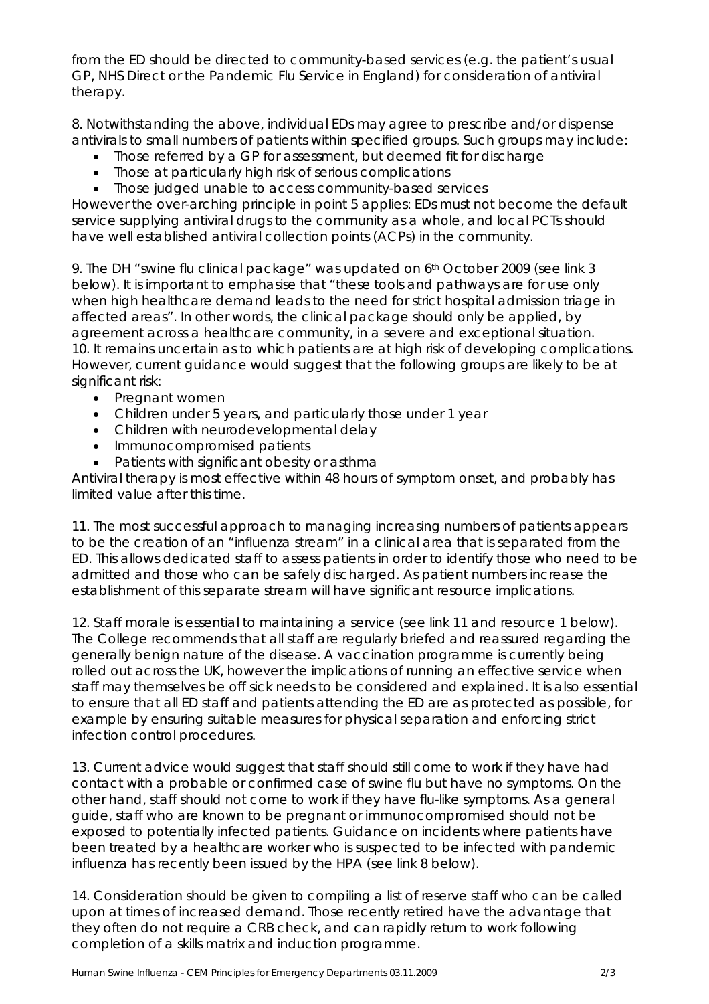from the ED should be directed to community-based services (e.g. the patient's usual GP, NHS Direct or the Pandemic Flu Service in England) for consideration of antiviral therapy.

8. Notwithstanding the above, individual EDs may agree to prescribe and/or dispense antivirals to small numbers of patients within specified groups. Such groups may include:

- Those referred by a GP for assessment, but deemed fit for discharge
- Those at particularly high risk of serious complications
- Those judged unable to access community-based services

However the over-arching principle in point 5 applies: EDs must not become the default service supplying antiviral drugs to the community as a whole, and local PCTs should have well established antiviral collection points (ACPs) in the community.

9. The DH "swine flu clinical package" was updated on 6th October 2009 (see link 3 below). It is important to emphasise that "these tools and pathways are for use only when high healthcare demand leads to the need for strict hospital admission triage in affected areas". In other words, the clinical package should only be applied, by agreement across a healthcare community, in a severe and exceptional situation. 10. It remains uncertain as to which patients are at high risk of developing complications. However, current guidance would suggest that the following groups are likely to be at significant risk:

- Pregnant women
- Children under 5 years, and particularly those under 1 year
- Children with neurodevelopmental delay
- Immunocompromised patients
- Patients with significant obesity or asthma

Antiviral therapy is most effective within 48 hours of symptom onset, and probably has limited value after this time.

11. The most successful approach to managing increasing numbers of patients appears to be the creation of an "influenza stream" in a clinical area that is separated from the ED. This allows dedicated staff to assess patients in order to identify those who need to be admitted and those who can be safely discharged. As patient numbers increase the establishment of this separate stream will have significant resource implications.

12. Staff morale is essential to maintaining a service (see link 11 and resource 1 below). The College recommends that all staff are regularly briefed and reassured regarding the generally benign nature of the disease. A vaccination programme is currently being rolled out across the UK, however the implications of running an effective service when staff may themselves be off sick needs to be considered and explained. It is also essential to ensure that all ED staff and patients attending the ED are as protected as possible, for example by ensuring suitable measures for physical separation and enforcing strict infection control procedures.

13. Current advice would suggest that staff should still come to work if they have had contact with a probable or confirmed case of swine flu but have no symptoms. On the other hand, staff should not come to work if they have flu-like symptoms. As a general guide, staff who are known to be pregnant or immunocompromised should not be exposed to potentially infected patients. Guidance on incidents where patients have been treated by a healthcare worker who is suspected to be infected with pandemic influenza has recently been issued by the HPA (see link 8 below).

14. Consideration should be given to compiling a list of reserve staff who can be called upon at times of increased demand. Those recently retired have the advantage that they often do not require a CRB check, and can rapidly return to work following completion of a skills matrix and induction programme.